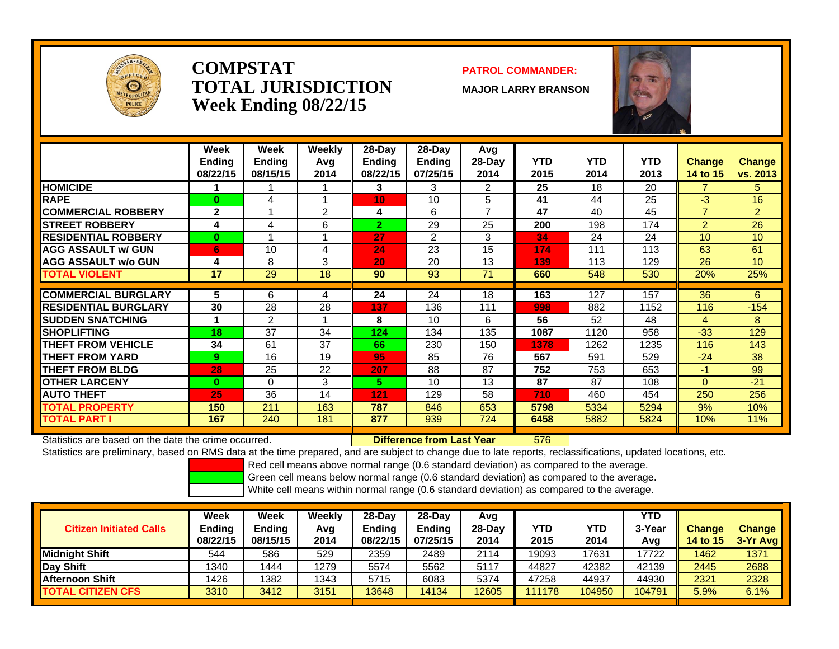

### **COMPSTATTOTAL JURISDICTIONWeek Ending 08/22/15**

### **PATROL COMMANDER:**

**MAJOR LARRY BRANSON**



|                             | Week<br>Ending<br>08/22/15 | <b>Week</b><br>Ending<br>08/15/15 | Weekly<br>Avg<br>2014 | $28$ -Day<br><b>Ending</b><br>08/22/15 | $28$ -Day<br>Ending<br>07/25/15 | Avg<br>28-Day<br>2014 | <b>YTD</b><br>2015 | <b>YTD</b><br>2014 | <b>YTD</b><br>2013 | <b>Change</b><br>14 to 15 | <b>Change</b><br>vs. 2013 |
|-----------------------------|----------------------------|-----------------------------------|-----------------------|----------------------------------------|---------------------------------|-----------------------|--------------------|--------------------|--------------------|---------------------------|---------------------------|
| <b>HOMICIDE</b>             |                            |                                   |                       | 3                                      | 3                               | 2                     | 25                 | 18                 | 20                 | $\overline{7}$            | 5.                        |
| <b>RAPE</b>                 | $\bf{0}$                   | 4                                 |                       | 10                                     | 10                              | 5                     | 41                 | 44                 | 25                 | $-3$                      | 16                        |
| <b>COMMERCIAL ROBBERY</b>   | $\mathbf{2}$               |                                   | 2                     | 4                                      | 6                               | $\overline{7}$        | 47                 | 40                 | 45                 | $\overline{7}$            | $\overline{2}$            |
| <b>ISTREET ROBBERY</b>      | 4                          | 4                                 | 6                     | $\overline{2}$                         | 29                              | 25                    | 200                | 198                | 174                | $\overline{2}$            | 26                        |
| <b>RESIDENTIAL ROBBERY</b>  | $\mathbf{0}$               |                                   |                       | 27                                     | 2                               | 3                     | 34                 | 24                 | 24                 | 10                        | 10                        |
| <b>AGG ASSAULT w/ GUN</b>   | 6                          | 10                                | 4                     | 24                                     | 23                              | 15                    | 174                | 111                | 113                | 63                        | 61                        |
| <b>AGG ASSAULT w/o GUN</b>  | 4                          | 8                                 | 3                     | 20                                     | 20                              | 13                    | 139                | 113                | 129                | 26                        | 10 <sup>°</sup>           |
| <b>TOTAL VIOLENT</b>        | 17                         | 29                                | 18                    | 90                                     | 93                              | 71                    | 660                | 548                | 530                | 20%                       | 25%                       |
|                             |                            |                                   |                       |                                        |                                 |                       |                    |                    |                    |                           |                           |
| <b>COMMERCIAL BURGLARY</b>  | 5                          | 6                                 | 4                     | 24                                     | 24                              | 18                    | 163                | 127                | 157                | 36                        | 6                         |
| <b>RESIDENTIAL BURGLARY</b> | 30                         | 28                                | 28                    | 137                                    | 136                             | 111                   | 998                | 882                | 1152               | 116                       | $-154$                    |
| <b>SUDDEN SNATCHING</b>     |                            | 2                                 |                       | 8                                      | 10                              | 6                     | 56                 | 52                 | 48                 | 4                         | 8                         |
| <b>ISHOPLIFTING</b>         | 18                         | 37                                | 34                    | 124                                    | 134                             | 135                   | 1087               | 1120               | 958                | $-33$                     | 129                       |
| <b>THEFT FROM VEHICLE</b>   | 34                         | 61                                | 37                    | 66                                     | 230                             | 150                   | 1378               | 1262               | 1235               | 116                       | 143                       |
| <b>THEFT FROM YARD</b>      | 9                          | 16                                | 19                    | 95                                     | 85                              | 76                    | 567                | 591                | 529                | $-24$                     | 38                        |
| <b>THEFT FROM BLDG</b>      | 28                         | 25                                | 22                    | 207                                    | 88                              | 87                    | 752                | 753                | 653                | -1                        | 99                        |
| <b>OTHER LARCENY</b>        | $\bf{0}$                   | $\Omega$                          | 3                     | 5.                                     | 10                              | 13                    | 87                 | 87                 | 108                | $\Omega$                  | $-21$                     |
| <b>AUTO THEFT</b>           | 25                         | 36                                | 14                    | 121                                    | 129                             | 58                    | 710                | 460                | 454                | 250                       | 256                       |
| TOTAL PROPERTY              | 150                        | 211                               | 163                   | 787                                    | 846                             | 653                   | 5798               | 5334               | 5294               | 9%                        | 10%                       |
| <b>TOTAL PART I</b>         | 167                        | 240                               | 181                   | 877                                    | 939                             | 724                   | 6458               | 5882               | 5824               | 10%                       | 11%                       |

Statistics are based on the date the crime occurred. **Difference from Last Year** 

576

Statistics are preliminary, based on RMS data at the time prepared, and are subject to change due to late reports, reclassifications, updated locations, etc.

Red cell means above normal range (0.6 standard deviation) as compared to the average.

Green cell means below normal range (0.6 standard deviation) as compared to the average.

| <b>Citizen Initiated Calls</b> | Week<br>Ending<br>08/22/15 | Week<br><b>Endina</b><br>08/15/15 | Weekly<br>Avg<br>2014 | 28-Dav<br>Endina<br>08/22/15 | $28-Dav$<br><b>Endina</b><br>07/25/15 | Avg<br>28-Day<br>2014 | YTD<br>2015 | YTD<br>2014 | <b>YTD</b><br>3-Year<br>Avg | <b>Change</b><br><b>14 to 15</b> | <b>Change</b><br>3-Yr Avg |
|--------------------------------|----------------------------|-----------------------------------|-----------------------|------------------------------|---------------------------------------|-----------------------|-------------|-------------|-----------------------------|----------------------------------|---------------------------|
| <b>IMidniaht Shift</b>         | 544                        | 586                               | 529                   | 2359                         | 2489                                  | 2114                  | 19093       | 7631        | 17722                       | 1462                             | 1371                      |
| Day Shift                      | 1340                       | 1444                              | 1279                  | 5574                         | 5562                                  | 5117                  | 44827       | 42382       | 42139                       | 2445                             | 2688                      |
| <b>IAfternoon Shift</b>        | 1426                       | 1382                              | 1343                  | 5715                         | 6083                                  | 5374                  | 47258       | 44937       | 44930                       | 2321                             | 2328                      |
| <b>TOTAL CITIZEN CFS</b>       | 3310                       | 3412                              | 3151                  | 13648                        | 4134                                  | 12605                 | 111178      | 104950      | 104791                      | 5.9%                             | 6.1%                      |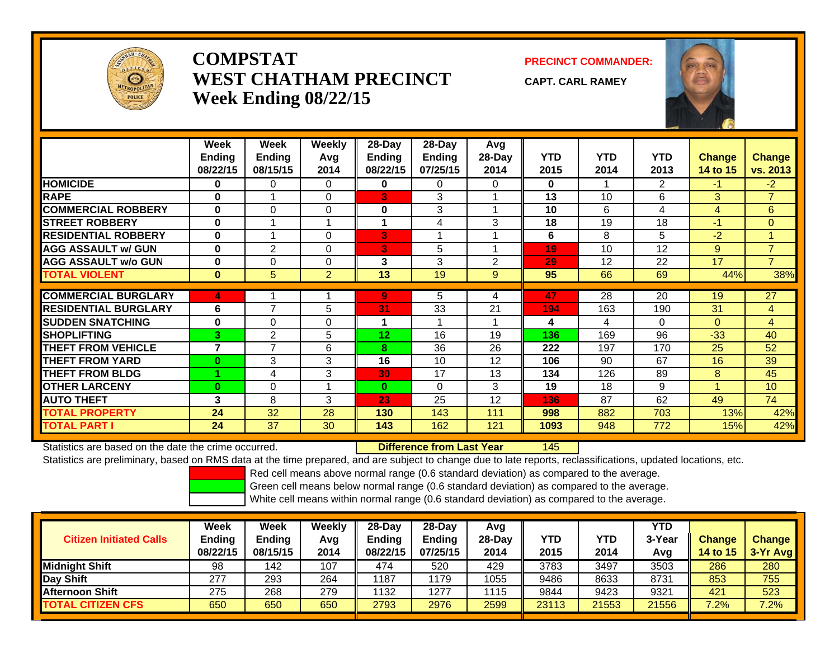

# **COMPSTATWEST CHATHAM PRECINCTWeek Ending 08/22/15**

**PRECINCT COMMANDER:**

**CAPT. CARL RAMEY**



|                             | Week<br><b>Ending</b><br>08/22/15 | Week<br><b>Ending</b><br>08/15/15 | <b>Weekly</b><br>Avg<br>2014 | 28-Day<br><b>Ending</b><br>08/22/15 | $28-Day$<br><b>Ending</b><br>07/25/15 | Avg<br>28-Day<br>2014 | <b>YTD</b><br>2015 | <b>YTD</b><br>2014 | <b>YTD</b><br>2013 | <b>Change</b><br>14 to 15 | <b>Change</b><br>vs. 2013 |
|-----------------------------|-----------------------------------|-----------------------------------|------------------------------|-------------------------------------|---------------------------------------|-----------------------|--------------------|--------------------|--------------------|---------------------------|---------------------------|
| <b>HOMICIDE</b>             | 0                                 | 0                                 | $\Omega$                     | $\mathbf{0}$                        | $\Omega$                              | 0                     | $\bf{0}$           |                    | $\overline{2}$     | $-1$                      | $-2$                      |
| <b>RAPE</b>                 | $\bf{0}$                          |                                   | $\Omega$                     | 3                                   | 3                                     |                       | 13                 | 10                 | 6                  | 3                         | $\overline{7}$            |
| <b>COMMERCIAL ROBBERY</b>   | $\bf{0}$                          | $\Omega$                          | $\Omega$                     | $\bf{0}$                            | 3                                     |                       | 10                 | 6                  | 4                  | 4                         | 6                         |
| <b>STREET ROBBERY</b>       | $\bf{0}$                          |                                   |                              |                                     | 4                                     | 3                     | 18                 | 19                 | 18                 | $-1$                      | $\mathbf{0}$              |
| <b>RESIDENTIAL ROBBERY</b>  | $\bf{0}$                          |                                   | $\Omega$                     | 3                                   |                                       |                       | 6                  | 8                  | 5                  | $-2$                      | $\blacktriangleleft$      |
| <b>AGG ASSAULT w/ GUN</b>   | $\bf{0}$                          | $\overline{2}$                    | $\Omega$                     | 3                                   | 5                                     |                       | 19                 | 10                 | 12                 | 9                         | $\overline{7}$            |
| <b>AGG ASSAULT w/o GUN</b>  | $\bf{0}$                          | $\Omega$                          | $\Omega$                     | 3                                   | 3                                     | $\overline{2}$        | 29                 | 12                 | 22                 | 17                        | $\overline{7}$            |
| <b>TOTAL VIOLENT</b>        | $\bf{0}$                          | 5                                 | $\overline{2}$               | 13                                  | 19                                    | 9                     | 95                 | 66                 | 69                 | 44%                       | 38%                       |
|                             |                                   |                                   |                              |                                     |                                       |                       |                    |                    |                    |                           |                           |
| <b>COMMERCIAL BURGLARY</b>  | 4                                 |                                   |                              | 9                                   | 5                                     | 4                     | 47                 | $\overline{28}$    | $\overline{20}$    | 19                        | $\overline{27}$           |
| <b>RESIDENTIAL BURGLARY</b> | 6                                 | 7                                 | 5                            | 31                                  | 33                                    | 21                    | 194                | 163                | 190                | 31                        | 4                         |
| <b>SUDDEN SNATCHING</b>     | $\bf{0}$                          | $\Omega$                          | $\Omega$                     | 1                                   |                                       |                       | 4                  | 4                  | $\Omega$           | $\Omega$                  | $\overline{4}$            |
| <b>SHOPLIFTING</b>          | $3^{\circ}$                       | $\overline{2}$                    | 5.                           | 12                                  | 16                                    | 19                    | 136                | 169                | 96                 | $-33$                     | 40                        |
| <b>THEFT FROM VEHICLE</b>   | 7                                 | $\overline{7}$                    | 6                            | 8                                   | 36                                    | 26                    | 222                | 197                | 170                | 25                        | 52                        |
| <b>THEFT FROM YARD</b>      | $\bf{0}$                          | 3                                 | 3                            | 16                                  | 10                                    | 12                    | 106                | 90                 | 67                 | 16                        | 39                        |
| <b>THEFT FROM BLDG</b>      |                                   | 4                                 | 3                            | 30                                  | 17                                    | 13                    | 134                | 126                | 89                 | 8                         | 45                        |
| <b>OTHER LARCENY</b>        | $\bf{0}$                          | 0                                 |                              | $\bf{0}$                            | $\Omega$                              | 3                     | 19                 | 18                 | 9                  |                           | 10                        |
| <b>AUTO THEFT</b>           | 3                                 | 8                                 | 3                            | 23                                  | 25                                    | 12                    | 136                | 87                 | 62                 | 49                        | 74                        |
| <b>TOTAL PROPERTY</b>       | 24                                | 32                                | 28                           | 130                                 | 143                                   | 111                   | 998                | 882                | 703                | 13%                       | 42%                       |
| <b>TOTAL PART I</b>         | 24                                | 37                                | 30                           | 143                                 | 162                                   | 121                   | 1093               | 948                | 772                | 15%                       | 42%                       |

Statistics are based on the date the crime occurred. **Difference from Last Year** 

145

Statistics are preliminary, based on RMS data at the time prepared, and are subject to change due to late reports, reclassifications, updated locations, etc.

Red cell means above normal range (0.6 standard deviation) as compared to the average.

Green cell means below normal range (0.6 standard deviation) as compared to the average.

| <b>Citizen Initiated Calls</b> | Week<br><b>Ending</b><br>08/22/15 | Week<br><b>Ending</b><br>08/15/15 | Weekly<br>Avg<br>2014 | $28$ -Day<br><b>Endina</b><br>08/22/15 | 28-Day<br><b>Ending</b><br>07/25/15 | Avg<br>28-Dav<br>2014 | YTD<br>2015 | <b>YTD</b><br>2014 | YTD<br>3-Year<br>Avg | <b>Change</b><br>14 to 15 | <b>Change</b><br>$3-Yr$ Avg |
|--------------------------------|-----------------------------------|-----------------------------------|-----------------------|----------------------------------------|-------------------------------------|-----------------------|-------------|--------------------|----------------------|---------------------------|-----------------------------|
| <b>Midnight Shift</b>          | 98                                | 142                               | 107                   | 474                                    | 520                                 | 429                   | 3783        | 3497               | 3503                 | 286                       | 280                         |
| <b>Day Shift</b>               | 277                               | 293                               | 264                   | 1187                                   | 1179                                | 1055                  | 9486        | 8633               | 8731                 | 853                       | 755                         |
| <b>Afternoon Shift</b>         | 275                               | 268                               | 279                   | 1132                                   | 1277                                | 1115                  | 9844        | 9423               | 9321                 | 421                       | 523                         |
| <b>TOTAL CITIZEN CFS</b>       | 650                               | 650                               | 650                   | 2793                                   | 2976                                | 2599                  | 23113       | 21553              | 21556                | $7.2\%$                   | 7.2%                        |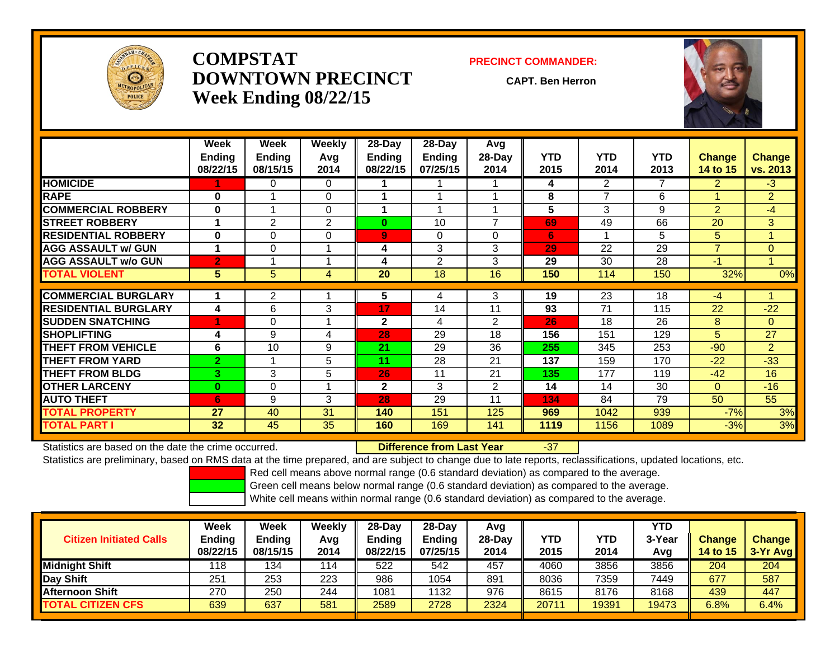

# **COMPSTATDOWNTOWN PRECINCTWeek Ending 08/22/15**

#### **PRECINCT COMMANDER:**

**CAPT. Ben Herron**

-37



|                             | Week<br><b>Ending</b><br>08/22/15 | Week<br><b>Ending</b><br>08/15/15 | Weekly<br>Avq<br>2014      | 28-Day<br>Ending<br>08/22/15 | 28-Day<br><b>Ending</b><br>07/25/15 | Avg<br>28-Day<br>2014    | <b>YTD</b><br>2015 | <b>YTD</b><br>2014 | <b>YTD</b><br>2013 | <b>Change</b><br>14 to 15 | <b>Change</b><br>vs. 2013 |
|-----------------------------|-----------------------------------|-----------------------------------|----------------------------|------------------------------|-------------------------------------|--------------------------|--------------------|--------------------|--------------------|---------------------------|---------------------------|
| <b>HOMICIDE</b>             |                                   | 0                                 | $\Omega$                   |                              |                                     |                          | 4                  | $\overline{2}$     | $\overline{7}$     | $\overline{2}$            | $-3$                      |
| <b>RAPE</b>                 | 0                                 |                                   | 0                          |                              |                                     |                          | 8                  | 7                  | 6                  |                           | $\overline{2}$            |
| <b>COMMERCIAL ROBBERY</b>   | 0                                 |                                   | 0                          |                              |                                     |                          | 5                  | 3                  | 9                  | $\overline{2}$            | $-4$                      |
| <b>STREET ROBBERY</b>       |                                   | $\overline{2}$                    | 2                          | $\bf{0}$                     | 10                                  | $\overline{\phantom{a}}$ | 69                 | 49                 | 66                 | 20                        | 3                         |
| <b>RESIDENTIAL ROBBERY</b>  | $\bf{0}$                          | 0                                 | $\Omega$                   | 9                            | $\Omega$                            | $\Omega$                 | 6                  |                    | 5                  | 5                         |                           |
| <b>AGG ASSAULT w/ GUN</b>   | 1                                 | 0                                 |                            | 4                            | 3                                   | 3                        | 29                 | 22                 | 29                 | $\overline{\phantom{a}}$  | $\overline{0}$            |
| <b>AGG ASSAULT w/o GUN</b>  | $\overline{2}$                    |                                   |                            | 4                            | 2                                   | 3                        | 29                 | 30                 | 28                 | $-1$                      |                           |
| <b>TOTAL VIOLENT</b>        | 5.                                | 5                                 | 4                          | 20                           | 18                                  | 16                       | 150                | 114                | 150                | 32%                       | 0%                        |
|                             |                                   |                                   |                            |                              |                                     |                          |                    |                    |                    |                           |                           |
| <b>COMMERCIAL BURGLARY</b>  |                                   | $\overline{2}$                    |                            | 5                            | 4                                   | 3                        | 19                 | 23                 | 18                 | $-4$                      |                           |
| <b>RESIDENTIAL BURGLARY</b> | 4                                 | 6                                 | 3                          | 17                           | 14                                  | 11                       | 93                 | 71                 | 115                | 22                        | $-22$                     |
| <b>SUDDEN SNATCHING</b>     |                                   | 0                                 |                            | $\mathbf{2}$                 | 4                                   | 2                        | 26                 | 18                 | 26                 | 8                         | $\Omega$                  |
| <b>SHOPLIFTING</b>          | 4                                 | 9                                 | 4                          | 28                           | 29                                  | 18                       | 156                | 151                | 129                | 5                         | 27                        |
| <b>THEFT FROM VEHICLE</b>   | 6                                 | 10                                | 9                          | 21                           | 29                                  | 36                       | 255                | 345                | 253                | $-90$                     | $\overline{2}$            |
| <b>THEFT FROM YARD</b>      | $\overline{2}$                    |                                   | 5                          | 11                           | 28                                  | 21                       | 137                | 159                | 170                | $-22$                     | $-33$                     |
| <b>THEFT FROM BLDG</b>      | 3                                 | 3                                 | 5                          | 26                           | 11                                  | 21                       | 135                | 177                | 119                | $-42$                     | 16                        |
| <b>OTHER LARCENY</b>        | $\mathbf{0}$                      | 0                                 | $\boldsymbol{\mathcal{A}}$ | $\mathbf{2}$                 | 3                                   | $\overline{2}$           | 14                 | 14                 | 30                 | $\Omega$                  | $-16$                     |
| <b>AUTO THEFT</b>           | 6                                 | 9                                 | 3                          | 28                           | 29                                  | 11                       | 134                | 84                 | 79                 | 50                        | 55                        |
| <b>TOTAL PROPERTY</b>       | 27                                | 40                                | 31                         | 140                          | 151                                 | 125                      | 969                | 1042               | 939                | $-7%$                     | 3%                        |
| <b>TOTAL PART I</b>         | 32                                | 45                                | 35                         | 160                          | 169                                 | 141                      | 1119               | 1156               | 1089               | $-3%$                     | 3%                        |

Statistics are based on the date the crime occurred. **Difference from Last Year** 

Statistics are preliminary, based on RMS data at the time prepared, and are subject to change due to late reports, reclassifications, updated locations, etc.

Red cell means above normal range (0.6 standard deviation) as compared to the average.

Green cell means below normal range (0.6 standard deviation) as compared to the average.

| <b>Citizen Initiated Calls</b> | Week<br><b>Ending</b><br>08/22/15 | Week<br><b>Ending</b><br>08/15/15 | Weekly<br>Avg<br>2014 | $28-Dav$<br><b>Ending</b><br>08/22/15 | 28-Dav<br><b>Ending</b><br>07/25/15 | Avg<br>$28-Day$<br>2014 | <b>YTD</b><br>2015 | YTD<br>2014 | YTD<br>3-Year<br>Avg | <b>Change</b><br><b>14 to 15</b> | <b>Change</b><br>3-Yr Avg |
|--------------------------------|-----------------------------------|-----------------------------------|-----------------------|---------------------------------------|-------------------------------------|-------------------------|--------------------|-------------|----------------------|----------------------------------|---------------------------|
| <b>Midnight Shift</b>          | 118                               | 134                               | 114                   | 522                                   | 542                                 | 457                     | 4060               | 3856        | 3856                 | 204                              | 204                       |
| Day Shift                      | 251                               | 253                               | 223                   | 986                                   | 054                                 | 891                     | 8036               | 7359        | 7449                 | 677                              | 587                       |
| <b>Afternoon Shift</b>         | 270                               | 250                               | 244                   | 1081                                  | 132                                 | 976                     | 8615               | 8176        | 8168                 | 439                              | 447                       |
| <b>TOTAL CITIZEN CFS</b>       | 639                               | 637                               | 581                   | 2589                                  | 2728                                | 2324                    | 20711              | 19391       | 19473                | 6.8%                             | 6.4%                      |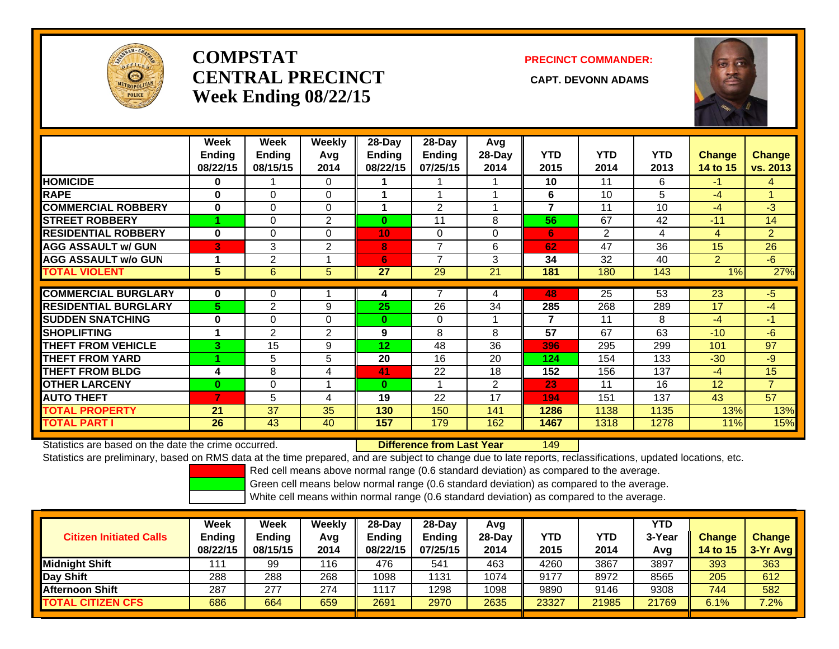

# **COMPSTATCENTRAL PRECINCT CAPT. DEVONN ADAMSWeek Ending 08/22/15**

### **PRECINCT COMMANDER:**



|                             | Week          | Week           | Weekly   | 28-Day   | 28-Day         | Avg            |            |                |            |                |                |
|-----------------------------|---------------|----------------|----------|----------|----------------|----------------|------------|----------------|------------|----------------|----------------|
|                             | <b>Ending</b> | <b>Ending</b>  | Avg      | Ending   | <b>Ending</b>  | 28-Day         | <b>YTD</b> | <b>YTD</b>     | <b>YTD</b> | <b>Change</b>  | <b>Change</b>  |
|                             | 08/22/15      | 08/15/15       | 2014     | 08/22/15 | 07/25/15       | 2014           | 2015       | 2014           | 2013       | 14 to 15       | vs. 2013       |
| <b>HOMICIDE</b>             | $\bf{0}$      |                | $\Omega$ |          |                |                | 10         | 11             | 6          | $-1$           | 4              |
| <b>RAPE</b>                 | $\bf{0}$      | $\Omega$       | $\Omega$ |          |                |                | 6          | 10             | 5          | $-4$           |                |
| <b>COMMERCIAL ROBBERY</b>   | $\bf{0}$      | $\Omega$       | $\Omega$ |          | $\overline{2}$ |                | 7          | 11             | 10         | $-4$           | $-3$           |
| <b>STREET ROBBERY</b>       |               | 0              | 2        | $\bf{0}$ | 11             | 8              | 56         | 67             | 42         | $-11$          | 14             |
| <b>RESIDENTIAL ROBBERY</b>  | $\bf{0}$      | $\Omega$       | $\Omega$ | 10       | $\Omega$       | 0              | 6          | $\overline{2}$ | 4          | 4              | 2              |
| <b>AGG ASSAULT w/ GUN</b>   | 3             | 3              | 2        | 8        | 7              | 6              | 62         | 47             | 36         | 15             | 26             |
| <b>AGG ASSAULT w/o GUN</b>  |               | 2              |          | 6        | 7              | 3              | 34         | 32             | 40         | $\overline{2}$ | $-6$           |
| <b>TOTAL VIOLENT</b>        | 5             | 6              | 5        | 27       | 29             | 21             | 181        | 180            | 143        | 1%             | 27%            |
|                             |               |                |          |          |                |                |            |                |            |                |                |
| <b>COMMERCIAL BURGLARY</b>  | $\bf{0}$      | 0              |          | 4        |                | 4              | 48         | 25             | 53         | 23             | $-5$           |
| <b>RESIDENTIAL BURGLARY</b> | 5.            | $\overline{2}$ | 9        | 25       | 26             | 34             | 285        | 268            | 289        | 17             | $-4$           |
| <b>SUDDEN SNATCHING</b>     | $\bf{0}$      | $\Omega$       | $\Omega$ | $\bf{0}$ | $\Omega$       |                | 7          | 11             | 8          | $-4$           | $-1$           |
| <b>SHOPLIFTING</b>          |               | $\overline{2}$ | 2        | 9        | 8              | 8              | 57         | 67             | 63         | $-10$          | $-6$           |
| <b>THEFT FROM VEHICLE</b>   | 3.            | 15             | 9        | 12       | 48             | 36             | 396        | 295            | 299        | 101            | 97             |
| <b>THEFT FROM YARD</b>      |               | 5              | 5        | 20       | 16             | 20             | 124        | 154            | 133        | $-30$          | $-9$           |
| <b>THEFT FROM BLDG</b>      | 4             | 8              | 4        | 41       | 22             | 18             | 152        | 156            | 137        | $-4$           | 15             |
| <b>OTHER LARCENY</b>        | $\mathbf{0}$  | $\Omega$       |          | $\bf{0}$ |                | $\overline{2}$ | 23         | 11             | 16         | 12             | $\overline{7}$ |
| <b>AUTO THEFT</b>           |               | 5              | 4        | 19       | 22             | 17             | 194        | 151            | 137        | 43             | 57             |
| <b>TOTAL PROPERTY</b>       | 21            | 37             | 35       | 130      | 150            | 141            | 1286       | 1138           | 1135       | 13%            | 13%            |
| <b>TOTAL PART I</b>         | 26            | 43             | 40       | 157      | 179            | 162            | 1467       | 1318           | 1278       | 11%            | 15%            |

Statistics are based on the date the crime occurred. **Difference from Last Year** 

149

Statistics are preliminary, based on RMS data at the time prepared, and are subject to change due to late reports, reclassifications, updated locations, etc.

Red cell means above normal range (0.6 standard deviation) as compared to the average.

Green cell means below normal range (0.6 standard deviation) as compared to the average.

| <b>Citizen Initiated Calls</b> | Week<br><b>Ending</b><br>08/22/15 | <b>Week</b><br>Ending<br>08/15/15 | Weekly<br>Avg<br>2014 | $28$ -Day<br>Ending<br>08/22/15 | $28-Dav$<br><b>Ending</b><br>07/25/15 | Avq<br>$28-Dav$<br>2014 | YTD<br>2015 | YTD<br>2014 | <b>YTD</b><br>3-Year<br>Avg | <b>Change</b><br><b>14 to 15</b> | <b>Change</b><br>$3-Yr$ Avg |
|--------------------------------|-----------------------------------|-----------------------------------|-----------------------|---------------------------------|---------------------------------------|-------------------------|-------------|-------------|-----------------------------|----------------------------------|-----------------------------|
| Midnight Shift                 | 111                               | 99                                | 116                   | 476                             | 541                                   | 463                     | 4260        | 3867        | 3897                        | 393                              | 363                         |
| Day Shift                      | 288                               | 288                               | 268                   | 1098                            | 1131                                  | 1074                    | 9177        | 8972        | 8565                        | 205                              | 612                         |
| <b>Afternoon Shift</b>         | 287                               | 277                               | 274                   | 1117                            | 1298                                  | 1098                    | 9890        | 9146        | 9308                        | 744                              | 582                         |
| <b>TOTAL CITIZEN CFS</b>       | 686                               | 664                               | 659                   | 2691                            | 2970                                  | 2635                    | 23327       | 21985       | 21769                       | 6.1%                             | 7.2%                        |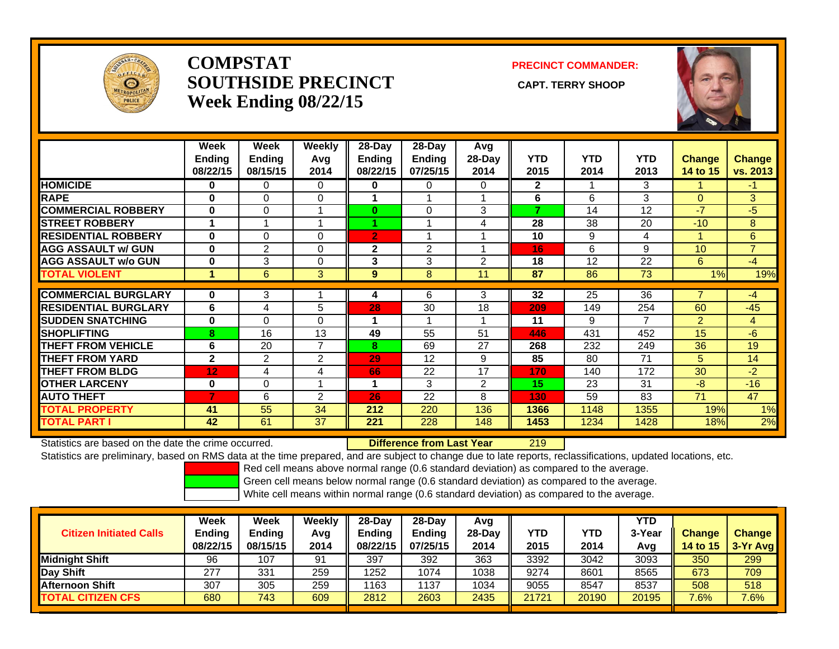

## **COMPSTATSOUTHSIDE PRECINCT** CAPT. TERRY SHOOP **Week Ending 08/22/15**

**PRECINCT COMMANDER:**



|                             | Week<br>Ending<br>08/22/15 | Week<br><b>Ending</b><br>08/15/15 | Weekly<br>Avg<br>2014    | 28-Day<br>Ending<br>08/22/15 | $28$ -Day<br><b>Ending</b><br>07/25/15 | Avg<br>$28-Day$<br>2014 | <b>YTD</b><br>2015 | <b>YTD</b><br>2014 | <b>YTD</b><br>2013 | <b>Change</b><br>14 to 15 | <b>Change</b><br>vs. 2013 |
|-----------------------------|----------------------------|-----------------------------------|--------------------------|------------------------------|----------------------------------------|-------------------------|--------------------|--------------------|--------------------|---------------------------|---------------------------|
| <b>HOMICIDE</b>             | 0                          | 0                                 | 0                        | 0                            | 0                                      | 0                       | $\mathbf{2}$       |                    | 3                  |                           | -1                        |
| <b>RAPE</b>                 | 0                          | $\Omega$                          | $\Omega$                 |                              |                                        |                         | 6                  | 6                  | 3                  | $\Omega$                  | $\mathbf{3}$              |
| <b>COMMERCIAL ROBBERY</b>   | $\bf{0}$                   | 0                                 | $\overline{\phantom{a}}$ | $\bf{0}$                     | $\Omega$                               | 3                       | 7                  | 14                 | 12                 | $-7$                      | $-5$                      |
| <b>ISTREET ROBBERY</b>      |                            |                                   |                          |                              |                                        | 4                       | 28                 | 38                 | 20                 | $-10$                     | 8                         |
| <b>RESIDENTIAL ROBBERY</b>  | $\bf{0}$                   | 0                                 | $\Omega$                 | $\overline{2}$               |                                        |                         | 10                 | 9                  | 4                  |                           | 6                         |
| <b>AGG ASSAULT w/ GUN</b>   | $\bf{0}$                   | 2                                 | 0                        | $\mathbf{2}$                 | 2                                      |                         | 16                 | 6                  | 9                  | 10 <sup>1</sup>           | $\overline{7}$            |
| <b>AGG ASSAULT w/o GUN</b>  | $\bf{0}$                   | 3                                 | 0                        | 3                            | 3                                      | 2                       | 18                 | 12                 | 22                 | 6                         | $-4$                      |
| <b>TOTAL VIOLENT</b>        | 1                          | 6                                 | 3                        | 9                            | 8                                      | 11                      | 87                 | 86                 | 73                 | 1%                        | 19%                       |
| <b>COMMERCIAL BURGLARY</b>  | $\bf{0}$                   | 3                                 |                          |                              | 6                                      | 3                       | 32                 | 25                 | 36                 | 7                         | $-4$                      |
|                             |                            |                                   |                          | 4                            |                                        |                         |                    |                    |                    |                           |                           |
| <b>RESIDENTIAL BURGLARY</b> | 6                          | 4                                 | 5                        | 28                           | 30                                     | 18                      | 209                | 149                | 254                | 60                        | $-45$                     |
| <b>SUDDEN SNATCHING</b>     | $\bf{0}$                   | $\Omega$                          | 0                        | 1                            |                                        |                         | 11                 | 9                  | 7                  | $\overline{2}$            | 4                         |
| <b>SHOPLIFTING</b>          | 8                          | 16                                | 13                       | 49                           | 55                                     | 51                      | 446                | 431                | 452                | 15                        | $-6$                      |
| <b>THEFT FROM VEHICLE</b>   | 6                          | 20                                | 7                        | 8                            | 69                                     | 27                      | 268                | 232                | 249                | 36                        | 19                        |
| <b>THEFT FROM YARD</b>      | $\mathbf{2}$               | $\overline{2}$                    | 2                        | 29                           | 12                                     | 9                       | 85                 | 80                 | 71                 | 5                         | 14                        |
| <b>THEFT FROM BLDG</b>      | 12                         | 4                                 | 4                        | 66                           | 22                                     | 17                      | 170                | 140                | 172                | 30                        | $-2$                      |
| <b>OTHER LARCENY</b>        | $\bf{0}$                   | $\Omega$                          |                          | 1                            | 3                                      | 2                       | 15                 | 23                 | 31                 | $-8$                      | $-16$                     |
| <b>AUTO THEFT</b>           | 7                          | 6                                 | 2                        | 26                           | 22                                     | 8                       | 130                | 59                 | 83                 | 71                        | 47                        |
| <b>TOTAL PROPERTY</b>       | 41                         | 55                                | 34                       | 212                          | 220                                    | 136                     | 1366               | 1148               | 1355               | 19%                       | 1%                        |
| <b>TOTAL PART I</b>         | 42                         | 61                                | 37                       | 221                          | 228                                    | 148                     | 1453               | 1234               | 1428               | 18%                       | 2%                        |

Statistics are based on the date the crime occurred. **Difference from Last Year** 

r 219

Statistics are preliminary, based on RMS data at the time prepared, and are subject to change due to late reports, reclassifications, updated locations, etc.

Red cell means above normal range (0.6 standard deviation) as compared to the average.

Green cell means below normal range (0.6 standard deviation) as compared to the average.

| <b>Citizen Initiated Calls</b> | Week<br><b>Ending</b><br>08/22/15 | Week<br><b>Ending</b><br>08/15/15 | Weekly<br>Avg<br>2014 | $28-Dav$<br><b>Endina</b><br>08/22/15 | $28$ -Dav<br><b>Ending</b><br>07/25/15 | Avg<br>$28-Dav$<br>2014 | <b>YTD</b><br>2015 | YTD<br>2014 | YTD<br>3-Year<br>Avg | <b>Change</b><br>14 to 15 | <b>Change</b><br>3-Yr Avg |
|--------------------------------|-----------------------------------|-----------------------------------|-----------------------|---------------------------------------|----------------------------------------|-------------------------|--------------------|-------------|----------------------|---------------------------|---------------------------|
| <b>I</b> Midniaht Shift        | 96                                | 107                               | 91                    | 397                                   | 392                                    | 363                     | 3392               | 3042        | 3093                 | 350                       | 299                       |
| Day Shift                      | 277                               | 331                               | 259                   | 1252                                  | 1074                                   | 1038                    | 9274               | 8601        | 8565                 | 673                       | 709                       |
| <b>Afternoon Shift</b>         | 307                               | 305                               | 259                   | 1163                                  | 1137                                   | 1034                    | 9055               | 8547        | 8537                 | 508                       | 518                       |
| <b>TOTAL CITIZEN CFS</b>       | 680                               | 743                               | 609                   | 2812                                  | 2603                                   | 2435                    | 21721              | 20190       | 20195                | $7.6\%$                   | $7.6\%$                   |